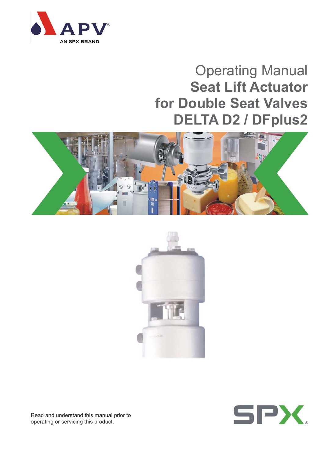

# Operating Manual **Seat Lift Actuator for Double Seat Valves DELTA D2 / DFplus2**







Read and understand this manual prior to operating or servicing this product.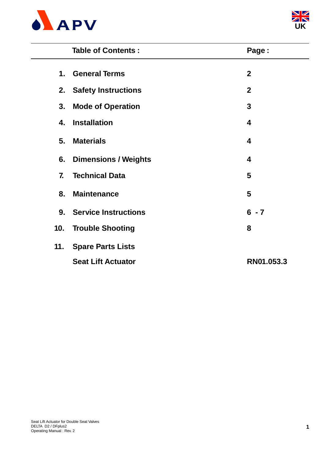



|                | <b>Table of Contents:</b>   | Page:                   |
|----------------|-----------------------------|-------------------------|
| $\mathbf 1$ .  | <b>General Terms</b>        | $\mathbf{2}$            |
| 2.             | <b>Safety Instructions</b>  | $\mathbf{2}$            |
| 3.             | <b>Mode of Operation</b>    | 3                       |
| 4.             | <b>Installation</b>         | $\overline{\mathbf{4}}$ |
| 5.             | <b>Materials</b>            | 4                       |
| 6.             | <b>Dimensions / Weights</b> | 4                       |
| $\mathbf{7}$   | <b>Technical Data</b>       | 5                       |
| 8.             | <b>Maintenance</b>          | 5                       |
| 9 <sub>1</sub> | <b>Service Instructions</b> | $6 - 7$                 |
| 10.            | <b>Trouble Shooting</b>     | 8                       |
| 11.            | <b>Spare Parts Lists</b>    |                         |
|                | <b>Seat Lift Actuator</b>   | RN01.053.3              |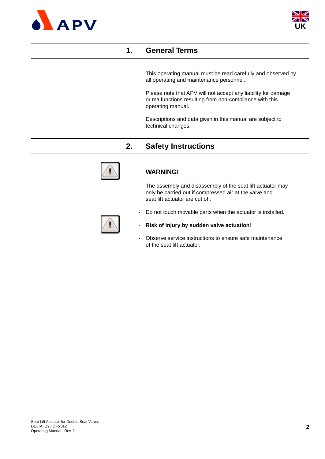



### **1. General Terms**

This operating manual must be read carefully and observed by all operating and maintenance personnel.

Please note that APV will not accept any liability for damage or malfunctions resulting from non-compliance with this operating manual.

Descriptions and data given in this manual are subject to technical changes.

### **2. Safety Instructions**



#### **WARNING!**

- The assembly and disassembly of the seat lift actuator may only be carried out if compressed air at the valve and seat lift actuator are cut off.



- Do not touch movable parts when the actuator is installed.
- **Risk of injury by sudden valve actuation!**
- Observe service instructions to ensure safe maintenance of the seat lift actuator.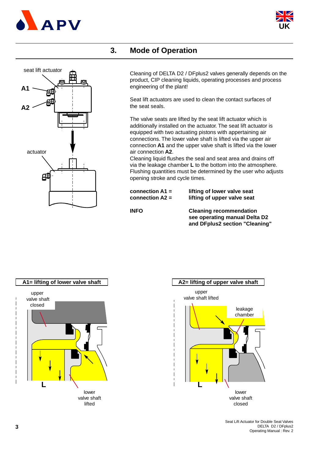



### **3. Mode of Operation**



Cleaning of DELTA D2 / DFplus2 valves generally depends on the product, CIP cleaning liquids, operating processes and process engineering of the plant!

Seat lift actuators are used to clean the contact surfaces of the seat seals.

The valve seats are lifted by the seat lift actuator which is additionally installed on the actuator. The seat lift actuator is equipped with two actuating pistons with appertaining air connections. The lower valve shaft is lifted via the upper air connection **A1** and the upper valve shaft is lifted via the lower air connection **A2**.

Cleaning liquid flushes the seal and seat area and drains off via the leakage chamber **L** to the bottom into the atmosphere. Flushing quantities must be determined by the user who adjusts opening stroke and cycle times.

| connection $A1 =$ | lifting of lower valve seat |
|-------------------|-----------------------------|
| connection $A2 =$ | lifting of upper valve seat |

**INFO Cleaning recommendation see operating manual Delta D2 and DFplus2 section "Cleaning"**





Seat Lift Actuator for Double Seat Valves DELTA D2 / DFplus2 Operating Manual : Rev. 2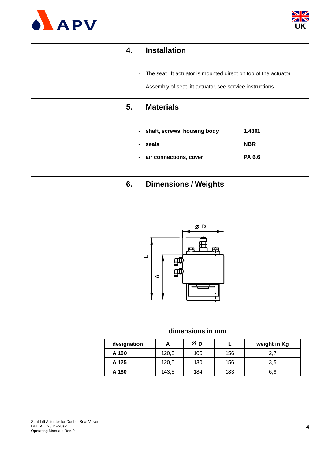



| 4.                       | <b>Installation</b>                                              |            |
|--------------------------|------------------------------------------------------------------|------------|
| $\sim$                   | The seat lift actuator is mounted direct on top of the actuator. |            |
| $\overline{\phantom{0}}$ | Assembly of seat lift actuator, see service instructions.        |            |
| 5.                       | <b>Materials</b>                                                 |            |
|                          |                                                                  |            |
|                          | shaft, screws, housing body                                      | 1.4301     |
|                          | seals                                                            | <b>NBR</b> |
| $\overline{\phantom{0}}$ | air connections, cover                                           | PA 6.6     |
|                          |                                                                  |            |
| 6.                       | <b>Dimensions / Weights</b>                                      |            |



#### **dimensions in mm**

| designation | А     | Ø<br>D |     | weight in Kg |  |  |  |  |  |
|-------------|-------|--------|-----|--------------|--|--|--|--|--|
| A 100       | 120,5 | 105    | 156 | 2,7          |  |  |  |  |  |
| A 125       | 120,5 | 130    | 156 | 3,5          |  |  |  |  |  |
| A 180       | 143,5 | 184    | 183 | 6,8          |  |  |  |  |  |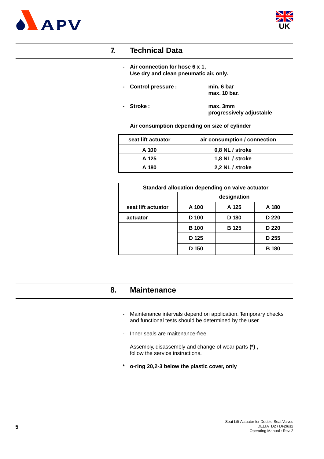



### **7. Technical Data**

- **Air connection for hose 6 x 1, Use dry and clean pneumatic air, only.**
- **Control pressure : min. 6 bar max. 10 bar.**
- **Stroke : max. 3mm progressively adjustable**

**Air consumption depending on size of cylinder**

| seat lift actuator | air consumption / connection |
|--------------------|------------------------------|
| A 100              | 0,8 NL / stroke              |
| A 125              | 1,8 NL / stroke              |
| A 180              | 2,2 NL / stroke              |

| Standard allocation depending on valve actuator |              |              |              |  |  |  |  |  |  |  |  |
|-------------------------------------------------|--------------|--------------|--------------|--|--|--|--|--|--|--|--|
|                                                 | designation  |              |              |  |  |  |  |  |  |  |  |
| seat lift actuator                              | A 100        | A 125        | A 180        |  |  |  |  |  |  |  |  |
| actuator                                        | D 100        | D 180        | D 220        |  |  |  |  |  |  |  |  |
|                                                 | <b>B</b> 100 | <b>B</b> 125 | D 220        |  |  |  |  |  |  |  |  |
|                                                 | D 125        |              | D 255        |  |  |  |  |  |  |  |  |
|                                                 | D 150        |              | <b>B</b> 180 |  |  |  |  |  |  |  |  |

### **8. Maintenance**

- Maintenance intervals depend on application. Temporary checks and functional tests should be determined by the user.
- Inner seals are maitenance-free.
- Assembly, disassembly and change of wear parts **(\*) ,** follow the service instructions.
- **\* o-ring 20,2-3 below the plastic cover, only**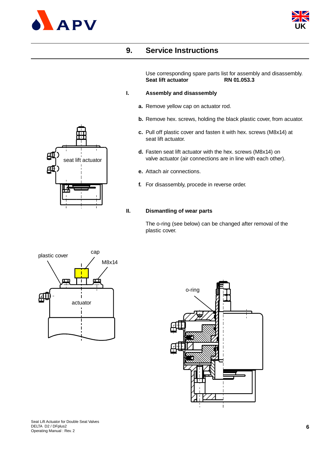



### **9. Service Instructions**

Use corresponding spare parts list for assembly and disassembly. **Seat lift actuator RN 01.053.3**

#### **I. Assembly and disassembly**

- **a.** Remove yellow cap on actuator rod.
- **b.** Remove hex. screws, holding the black plastic cover, from acuator.
- **c.** Pull off plastic cover and fasten it with hex. screws (M8x14) at seat lift actuator.
- **d.** Fasten seat lift actuator with the hex. screws (M8x14) on valve actuator (air connections are in line with each other).
- **e.** Attach air connections.
- **f.** For disassembly, procede in reverse order.

#### **II. Dismantling of wear parts**

The o-ring (see below) can be changed after removal of the plastic cover.





Seat Lift Actuator for Double Seat Valves DELTA D2 / DFplus2 Operating Manual : Rev. 2

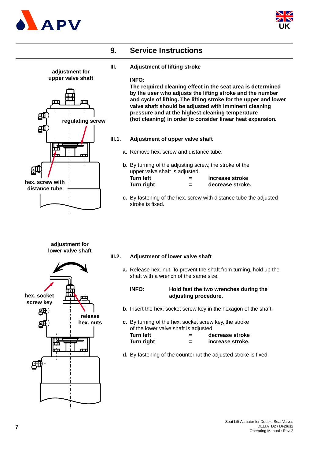



### **9. Service Instructions**

**III. Adjustment of lifting stroke**

#### **INFO:**

**The required cleaning effect in the seat area is determined by the user who adjusts the lifting stroke and the number and cycle of lifting. The lifting stroke for the upper and lower valve shaft should be adjusted with imminent cleaning pressure and at the highest cleaning temperature (hot cleaning) in order to consider linear heat expansion.**

- **III.1. Adjustment of upper valve shaft**
	- **a.** Remove hex. screw and distance tube.
	- **b.** By turning of the adjusting screw, the stroke of the upper valve shaft is adjusted. **Turn left = increase stroke Turn right = decrease stroke.**
	- **c.** By fastening of the hex. screw with distance tube the adjusted stroke is fixed.

# **III.2. Adjustment of lower valve shaft**

**a.** Release hex. nut. To prevent the shaft from turning, hold up the shaft with a wrench of the same size.

#### **INFO: Hold fast the two wrenches during the adjusting procedure.**

- **b.** Insert the hex. socket screw key in the hexagon of the shaft.
- **c.** By turning of the hex. socket screw key, the stroke of the lower valve shaft is adjusted. Turn left  $=$  decrease stroke Turn right  $=$  increase stroke.
- **d.** By fastening of the counternut the adjusted stroke is fixed.



**adjustment for**

**adjustment for lower valve shaft**

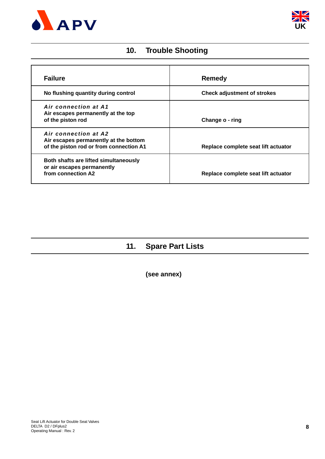



## **10. Trouble Shooting**

| <b>Failure</b>                                                                                           | Remedy                              |
|----------------------------------------------------------------------------------------------------------|-------------------------------------|
| No flushing quantity during control                                                                      | <b>Check adjustment of strokes</b>  |
| Air connection at A1<br>Air escapes permanently at the top<br>of the piston rod                          | Change o - ring                     |
| Air connection at A2<br>Air escapes permanently at the bottom<br>of the piston rod or from connection A1 | Replace complete seat lift actuator |
| Both shafts are lifted simultaneously<br>or air escapes permanently<br>from connection A2                | Replace complete seat lift actuator |

# **11. Spare Part Lists**

**(see annex)**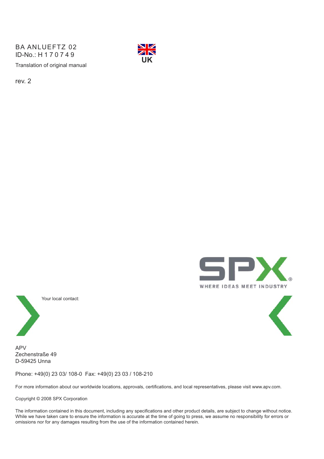Translation of original manual BA ANLUEFTZ 02 ID-No.: H170749



rev. 2





APV Zechenstraße 49 D-59425 Unna

Phone: +49(0) 23 03/ 108-0 Fax: +49(0) 23 03 / 108-210

For more information about our worldwide locations, approvals, certifications, and local representatives, please visit www.apv.com.

Copyright © 2008 SPX Corporation

The information contained in this document, including any specifications and other product details, are subject to change without notice. While we have taken care to ensure the information is accurate at the time of going to press, we assume no responsibility for errors or omissions nor for any damages resulting from the use of the information contained herein.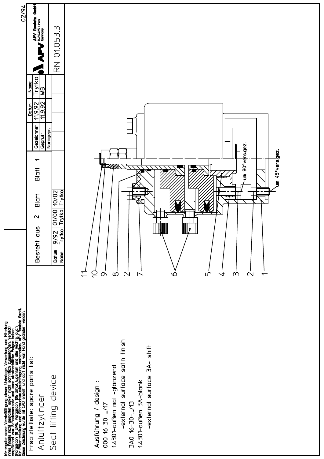| 02/94                                                                                                                                                                                                                                | <b>False</b><br><b>APV Roateta</b><br>Trytko<br><u>WB</u><br><b>Name</b><br><u>76'6'U</u><br>76'6'U<br>Datum<br>Gezeichnet<br>Geprüff<br>$\overline{\phantom{0}}$<br><b>Blatt</b><br><b>Blatt</b><br>$\mathbf{\Omega}$<br>Besteht aus | نى<br>01.053<br>$\overline{\mathbb{R}}$<br>Normgepr.<br>Trytko<br>10/02<br>Trytko<br>01/00<br><b>Trytko</b><br>9/92<br>Datun<br>Name | um 90°vers.gez<br>um 45°vers.gez.<br>F<br>naillí9<br>╀<br><b>The Second Second</b><br>$\ominus$<br>$\overset{\prime}{\leftarrow}$<br>$\infty$<br>$\mathbf{\Omega}$<br>$\circ$<br>LN<br>$\prec$<br>m<br>$\mathcal{L}$<br>$\sigma$<br>$\triangleright$<br>$\overline{\phantom{0}}$ |
|--------------------------------------------------------------------------------------------------------------------------------------------------------------------------------------------------------------------------------------|---------------------------------------------------------------------------------------------------------------------------------------------------------------------------------------------------------------------------------------|--------------------------------------------------------------------------------------------------------------------------------------|----------------------------------------------------------------------------------------------------------------------------------------------------------------------------------------------------------------------------------------------------------------------------------|
| Weitergabe sowie Vervielfältigung dieser Unterlage, Verwertung und Mittellung<br>ihres Finalis nicht gestattet, soweit nicht schrifflich zugestanden. Verstoß<br>verpflichtet zum Schadensersatz und Kan. strafrechtighe Falgen habe | parts list:<br>spare<br>Anlüftzylinder<br>Ersatzteilliste:                                                                                                                                                                            | device<br>Seat lifting                                                                                                               | satin finish<br>shift<br>$3A-$<br>1.4301-außen matt-glänzend<br>-external surface<br>-external surface<br>1.4301-außen 3A-blank<br>$\ddot{\phantom{0}}$<br>Ausführung / design<br>3A0 16-30-/13<br>000 16-30-/17                                                                 |